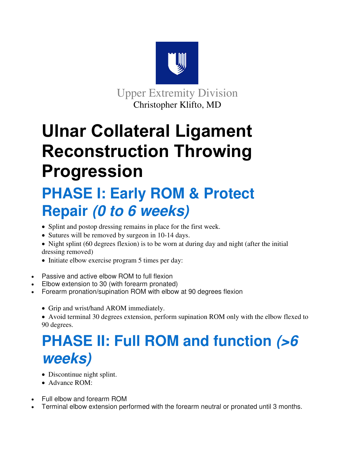

Upper Extremity Division Christopher Klifto, MD

# **Ulnar Collateral Ligament Reconstruction Throwing Progression**

## **PHASE I: Early ROM & Protect Repair (0 to 6 weeks)**

- Splint and postop dressing remains in place for the first week.
- Sutures will be removed by surgeon in 10-14 days.
- Night splint (60 degrees flexion) is to be worn at during day and night (after the initial dressing removed)
- Initiate elbow exercise program 5 times per day:
- Passive and active elbow ROM to full flexion
- Elbow extension to 30 (with forearm pronated)
- Forearm pronation/supination ROM with elbow at 90 degrees flexion
	- Grip and wrist/hand AROM immediately.
	- Avoid terminal 30 degrees extension, perform supination ROM only with the elbow flexed to 90 degrees.

## **PHASE II: Full ROM and function (>6 weeks)**

- Discontinue night splint.
- Advance ROM:
- Full elbow and forearm ROM
- Terminal elbow extension performed with the forearm neutral or pronated until 3 months.